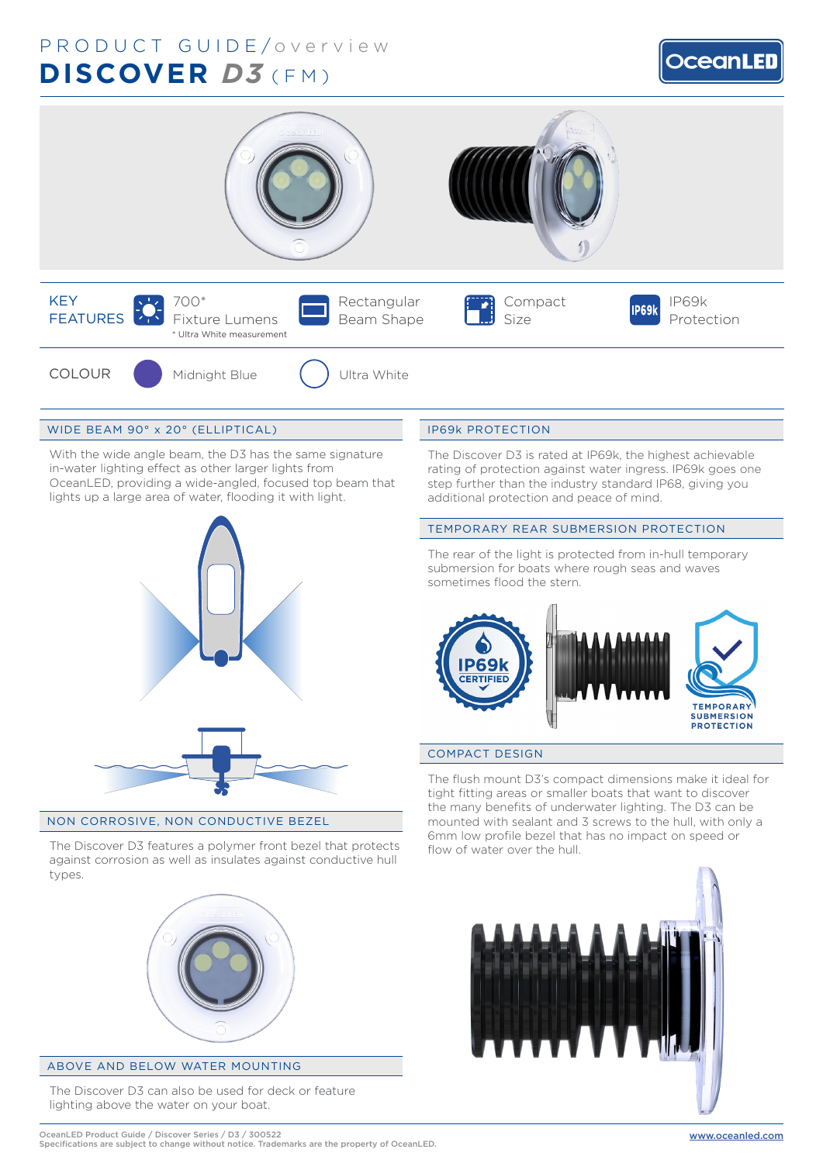# PRODUCT GUIDE/overview (FM) **DISCOVER** *D3*





# WIDE BEAM 90° x 20° (ELLIPTICAL)

With the wide angle beam, the D3 has the same signature in-water lighting effect as other larger lights from OceanLED, providing a wide-angled, focused top beam that lights up a large area of water, flooding it with light.



#### NON CORROSIVE, NON CONDUCTIVE BEZEL

The Discover D3 features a polymer front bezel that protects against corrosion as well as insulates against conductive hull types.



# ABOVE AND BELOW WATER MOUNTING

The Discover D3 can also be used for deck or feature lighting above the water on your boat.

# IP69k PROTECTION

The Discover D3 is rated at IP69k, the highest achievable rating of protection against water ingress. IP69k goes one step further than the industry standard IP68, giving you additional protection and peace of mind.

#### TEMPORARY REAR SUBMERSION PROTECTION

The rear of the light is protected from in-hull temporary submersion for boats where rough seas and waves sometimes flood the stern.



# COMPACT DESIGN

The flush mount D3's compact dimensions make it ideal for tight fitting areas or smaller boats that want to discover the many benefits of underwater lighting. The D3 can be mounted with sealant and 3 screws to the hull, with only a 6mm low profile bezel that has no impact on speed or flow of water over the hull.

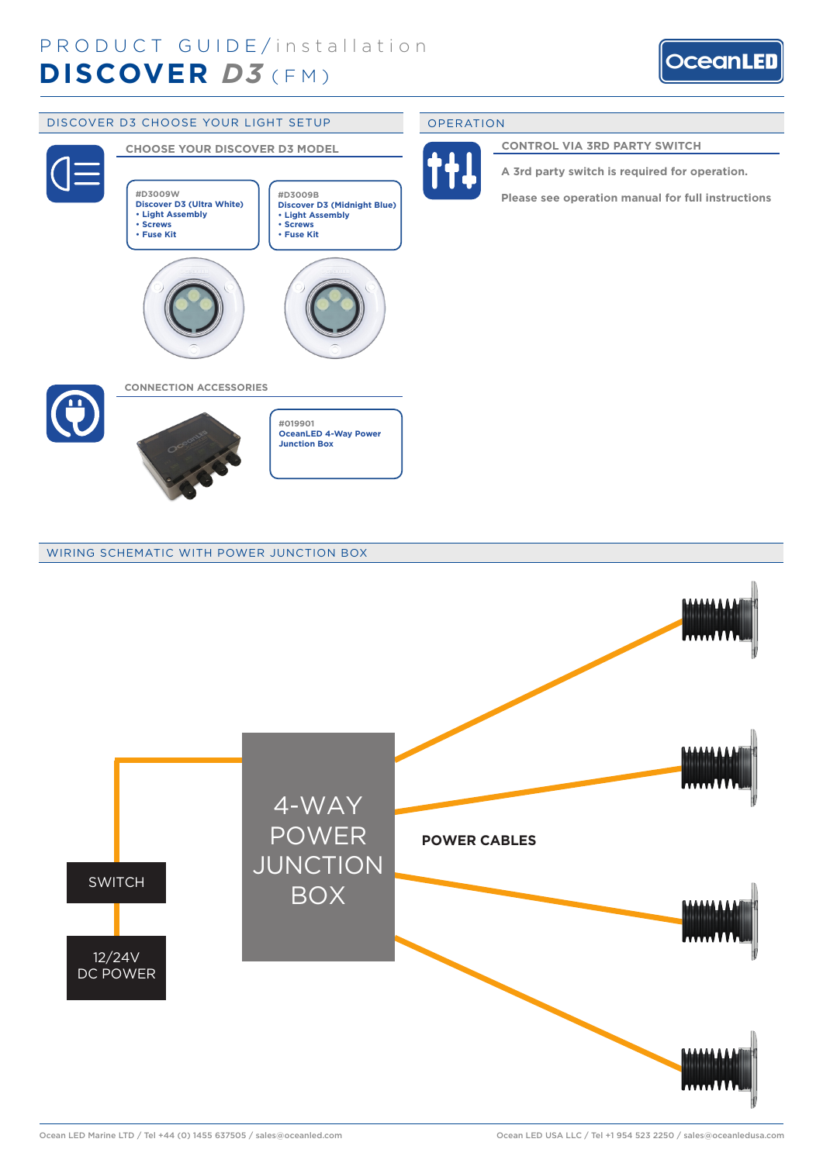



# WIRING SCHEMATIC WITH POWER JUNCTION BOX

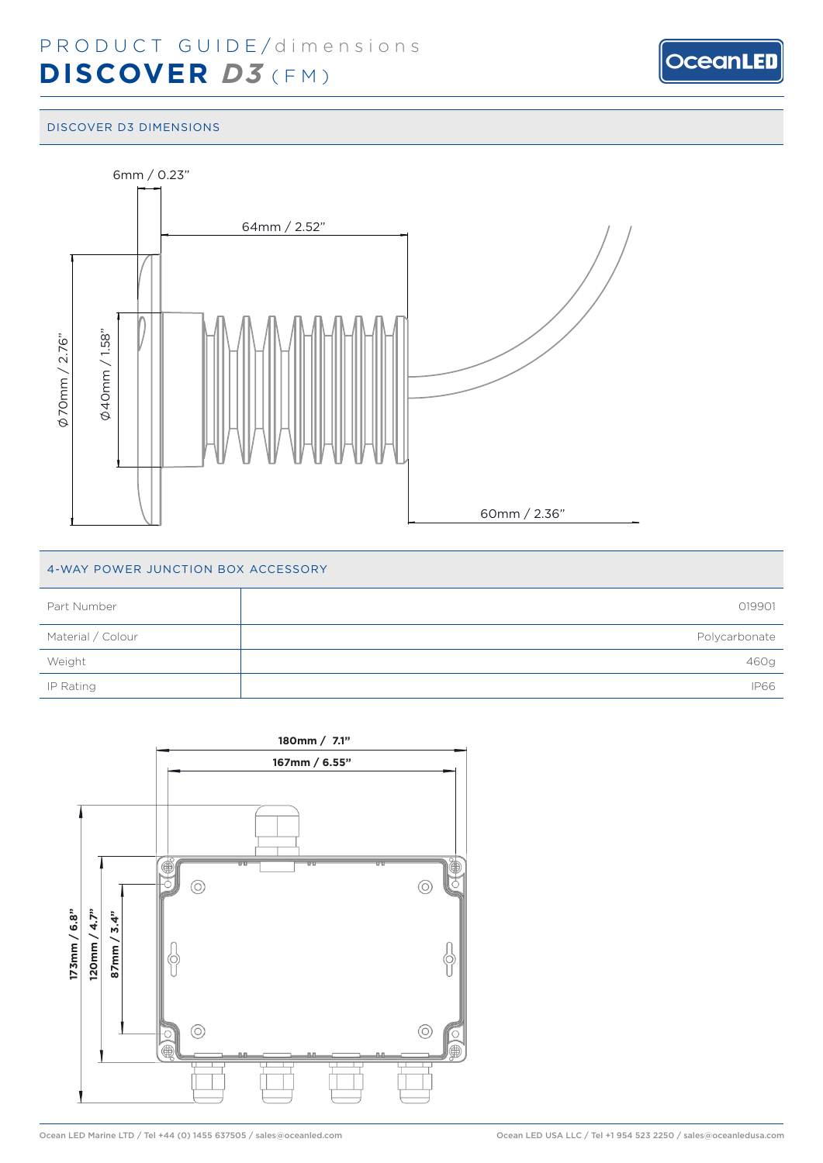

#### DISCOVER D3 DIMENSIONS



# 4-WAY POWER JUNCTION BOX ACCESSORY

| Part Number       | 019901        |
|-------------------|---------------|
| Material / Colour | Polycarbonate |
| Weight            | 460g          |
| IP Rating         | <b>IP66</b>   |